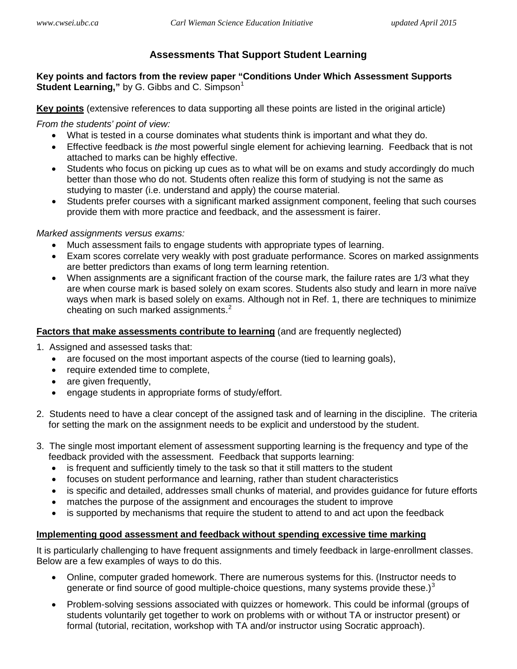# <span id="page-0-0"></span>**Assessments That Support Student Learning**

**Key points and factors from the review paper "Conditions Under Which Assessment Supports Student Learning,"** by G. Gibbs and C. Simpson<sup>[1](#page-1-0)</sup>

**Key points** (extensive references to data supporting all these points are listed in the original article)

*From the students' point of view:*

- What is tested in a course dominates what students think is important and what they do.
- Effective feedback is *the* most powerful single element for achieving learning. Feedback that is not attached to marks can be highly effective.
- Students who focus on picking up cues as to what will be on exams and study accordingly do much better than those who do not. Students often realize this form of studying is not the same as studying to master (i.e. understand and apply) the course material.
- Students prefer courses with a significant marked assignment component, feeling that such courses provide them with more practice and feedback, and the assessment is fairer.

#### *Marked assignments versus exams:*

- Much assessment fails to engage students with appropriate types of learning.
- Exam scores correlate very weakly with post graduate performance. Scores on marked assignments are better predictors than exams of long term learning retention.
- When assignments are a significant fraction of the course mark, the failure rates are 1/3 what they are when course mark is based solely on exam scores. Students also study and learn in more naïve ways when mark is based solely on exams. Although not in Ref. 1, there are techniques to minimize cheating on such marked assignments. $2^2$  $2^2$

### **Factors that make assessments contribute to learning** (and are frequently neglected)

- 1. Assigned and assessed tasks that:
	- are focused on the most important aspects of the course (tied to learning goals),
	- require extended time to complete,
	- are given frequently,
	- engage students in appropriate forms of study/effort.
- 2. Students need to have a clear concept of the assigned task and of learning in the discipline. The criteria for setting the mark on the assignment needs to be explicit and understood by the student.
- 3. The single most important element of assessment supporting learning is the frequency and type of the feedback provided with the assessment. Feedback that supports learning:
	- is frequent and sufficiently timely to the task so that it still matters to the student
	- focuses on student performance and learning, rather than student characteristics
	- is specific and detailed, addresses small chunks of material, and provides guidance for future efforts
	- matches the purpose of the assignment and encourages the student to improve
	- is supported by mechanisms that require the student to attend to and act upon the feedback

#### **Implementing good assessment and feedback without spending excessive time marking**

It is particularly challenging to have frequent assignments and timely feedback in large-enrollment classes. Below are a few examples of ways to do this.

- Online, computer graded homework. There are numerous systems for this. (Instructor needs to generate or find source of good multiple-choice questions, many systems provide these.) $3$
- Problem-solving sessions associated with quizzes or homework. This could be informal (groups of students voluntarily get together to work on problems with or without TA or instructor present) or formal (tutorial, recitation, workshop with TA and/or instructor using Socratic approach).